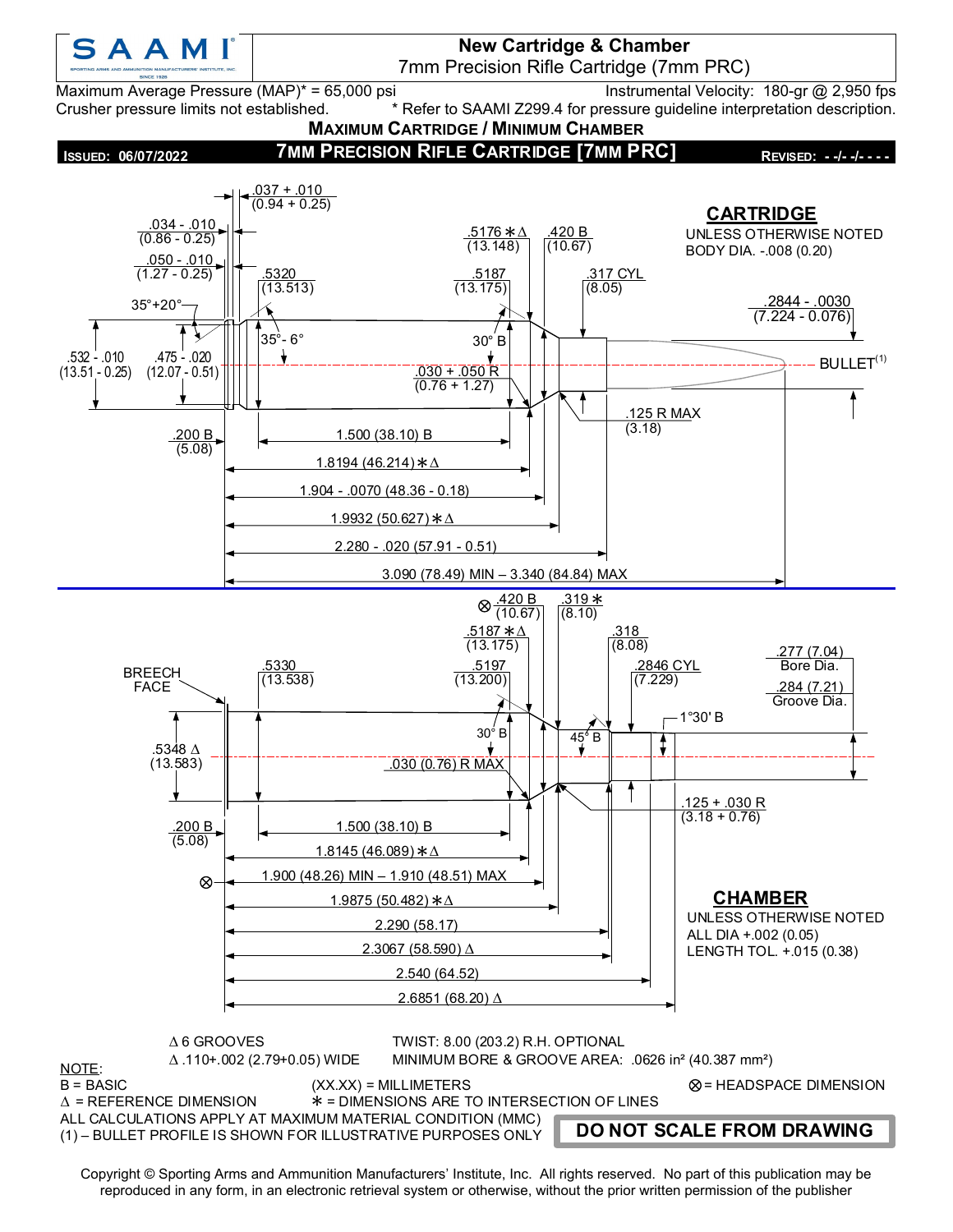

**New Cartridge & Chamber** 7mm Precision Rifle Cartridge (7mm PRC)

Maximum Average Pressure (MAP)\* = 65,000 psi Instrumental Velocity: 180-gr @ 2,950 fps Crusher pressure limits not established. \* Refer to SAAMI Z299.4 for pressure guideline interpretation description.

**MAXIMUM CARTRIDGE / MINIMUM CHAMBER**  $.037 + .010$  $(0.94 + 0.25)$ **7MM PRECISION RIFLE CARTRIDGE [7MM PRC] ISSUED: 06/07/2022 REVISED: - -/- -/- - - -**



 $*$  = DIMENSIONS ARE TO INTERSECTION OF LINES

ALL CALCULATIONS APPLY AT MAXIMUM MATERIAL CONDITION (MMC) <sup>∆</sup> \*

(1) – BULLET PROFILE IS SHOWN FOR ILLUSTRATIVE PURPOSES ONLY

**DO NOT SCALE FROM DRAWING**

Copyright © Sporting Arms and Ammunition Manufacturers' Institute, Inc. All rights reserved. No part of this publication may be reproduced in any form, in an electronic retrieval system or otherwise, without the prior written permission of the publisher